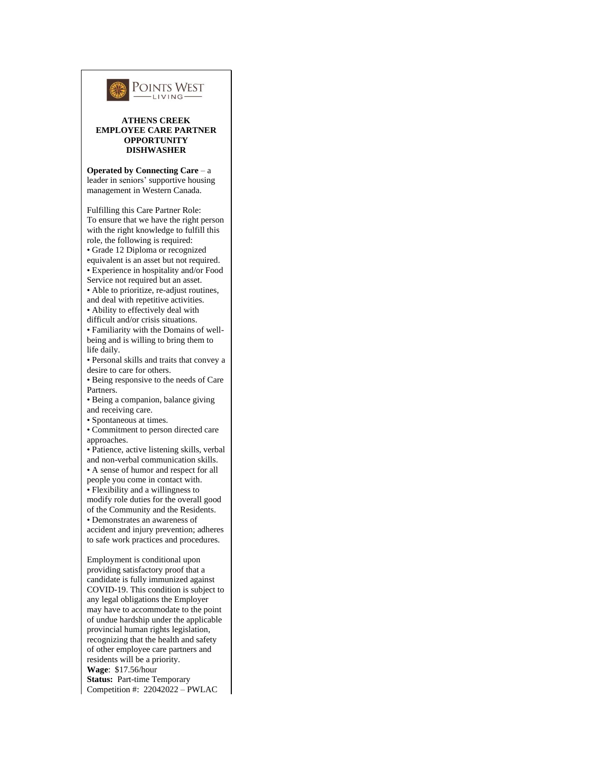

## **ATHENS CREEK EMPLOYEE CARE PARTNER OPPORTUNITY DISHWASHER**

**Operated by Connecting Care** – a leader in seniors' supportive housing management in Western Canada.

Fulfilling this Care Partner Role: To ensure that we have the right person with the right knowledge to fulfill this role, the following is required: • Grade 12 Diploma or recognized equivalent is an asset but not required. • Experience in hospitality and/or Food Service not required but an asset.

• Able to prioritize, re-adjust routines, and deal with repetitive activities.

• Ability to effectively deal with difficult and/or crisis situations.

• Familiarity with the Domains of wellbeing and is willing to bring them to life daily.

• Personal skills and traits that convey a desire to care for others.

• Being responsive to the needs of Care Partners.

• Being a companion, balance giving and receiving care.

• Spontaneous at times.

• Commitment to person directed care approaches.

• Patience, active listening skills, verbal and non-verbal communication skills.

• A sense of humor and respect for all people you come in contact with.

• Flexibility and a willingness to

modify role duties for the overall good of the Community and the Residents. • Demonstrates an awareness of

accident and injury prevention; adheres to safe work practices and procedures.

Employment is conditional upon providing satisfactory proof that a candidate is fully immunized against COVID-19. This condition is subject to any legal obligations the Employer may have to accommodate to the point of undue hardship under the applicable provincial human rights legislation, recognizing that the health and safety of other employee care partners and residents will be a priority. **Wage**: \$17.56/hour **Status:** Part-time Temporary Competition #: 22042022 – PWLAC